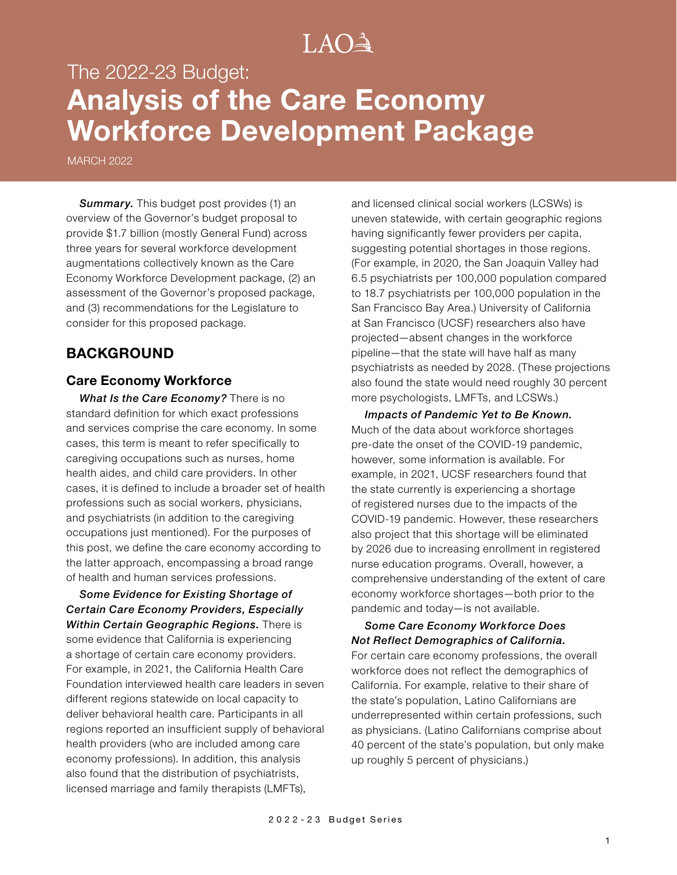# $LAO<sup>3</sup>$

# The 2022-23 Budget: **Analysis of the Care Economy Workforce Development Package**

MARCH 2022

**Summary.** This budget post provides (1) an overview of the Governor's budget proposal to provide \$1.7 billion (mostly General Fund) across three years for several workforce development augmentations collectively known as the Care Economy Workforce Development package, (2) an assessment of the Governor's proposed package, and (3) recommendations for the Legislature to consider for this proposed package.

## **BACKGROUND**

### **Care Economy Workforce**

*What Is the Care Economy?* There is no standard definition for which exact professions and services comprise the care economy. In some cases, this term is meant to refer specifically to caregiving occupations such as nurses, home health aides, and child care providers. In other cases, it is defined to include a broader set of health professions such as social workers, physicians, and psychiatrists (in addition to the caregiving occupations just mentioned). For the purposes of this post, we define the care economy according to the latter approach, encompassing a broad range of health and human services professions.

*Some Evidence for Existing Shortage of Certain Care Economy Providers, Especially Within Certain Geographic Regions.* There is some evidence that California is experiencing a shortage of certain care economy providers. For example, in 2021, the California Health Care Foundation interviewed health care leaders in seven different regions statewide on local capacity to deliver behavioral health care. Participants in all regions reported an insufficient supply of behavioral health providers (who are included among care economy professions). In addition, this analysis also found that the distribution of psychiatrists, licensed marriage and family therapists (LMFTs),

and licensed clinical social workers (LCSWs) is uneven statewide, with certain geographic regions having significantly fewer providers per capita, suggesting potential shortages in those regions. (For example, in 2020, the San Joaquin Valley had 6.5 psychiatrists per 100,000 population compared to 18.7 psychiatrists per 100,000 population in the San Francisco Bay Area.) University of California at San Francisco (UCSF) researchers also have projected—absent changes in the workforce pipeline—that the state will have half as many psychiatrists as needed by 2028. (These projections also found the state would need roughly 30 percent more psychologists, LMFTs, and LCSWs.)

*Impacts of Pandemic Yet to Be Known.*  Much of the data about workforce shortages pre-date the onset of the COVID-19 pandemic, however, some information is available. For example, in 2021, UCSF researchers found that the state currently is experiencing a shortage of registered nurses due to the impacts of the COVID-19 pandemic. However, these researchers also project that this shortage will be eliminated by 2026 due to increasing enrollment in registered nurse education programs. Overall, however, a comprehensive understanding of the extent of care economy workforce shortages—both prior to the pandemic and today—is not available.

*Some Care Economy Workforce Does Not Reflect Demographics of California.*  For certain care economy professions, the overall workforce does not reflect the demographics of California. For example, relative to their share of the state's population, Latino Californians are underrepresented within certain professions, such as physicians. (Latino Californians comprise about 40 percent of the state's population, but only make up roughly 5 percent of physicians.)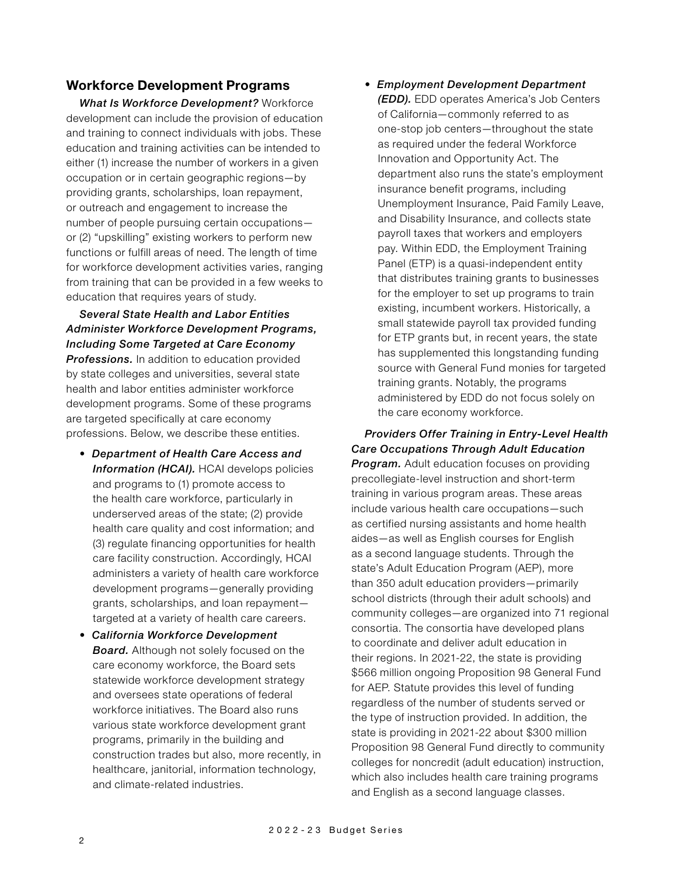## **Workforce Development Programs**

*What Is Workforce Development?* Workforce development can include the provision of education and training to connect individuals with jobs. These education and training activities can be intended to either (1) increase the number of workers in a given occupation or in certain geographic regions—by providing grants, scholarships, loan repayment, or outreach and engagement to increase the number of people pursuing certain occupations or (2) "upskilling" existing workers to perform new functions or fulfill areas of need. The length of time for workforce development activities varies, ranging from training that can be provided in a few weeks to education that requires years of study.

*Several State Health and Labor Entities Administer Workforce Development Programs, Including Some Targeted at Care Economy*  **Professions.** In addition to education provided by state colleges and universities, several state health and labor entities administer workforce development programs. Some of these programs are targeted specifically at care economy professions. Below, we describe these entities.

- *Department of Health Care Access and*  **Information (HCAI).** HCAI develops policies and programs to (1) promote access to the health care workforce, particularly in underserved areas of the state; (2) provide health care quality and cost information; and (3) regulate financing opportunities for health care facility construction. Accordingly, HCAI administers a variety of health care workforce development programs—generally providing grants, scholarships, and loan repayment targeted at a variety of health care careers.
- *California Workforce Development*  **Board.** Although not solely focused on the care economy workforce, the Board sets statewide workforce development strategy and oversees state operations of federal workforce initiatives. The Board also runs various state workforce development grant programs, primarily in the building and construction trades but also, more recently, in healthcare, janitorial, information technology, and climate-related industries.

• *Employment Development Department (EDD).* EDD operates America's Job Centers of California—commonly referred to as one-stop job centers—throughout the state as required under the federal Workforce Innovation and Opportunity Act. The department also runs the state's employment insurance benefit programs, including Unemployment Insurance, Paid Family Leave, and Disability Insurance, and collects state payroll taxes that workers and employers pay. Within EDD, the Employment Training Panel (ETP) is a quasi-independent entity that distributes training grants to businesses for the employer to set up programs to train existing, incumbent workers. Historically, a small statewide payroll tax provided funding for ETP grants but, in recent years, the state has supplemented this longstanding funding source with General Fund monies for targeted training grants. Notably, the programs administered by EDD do not focus solely on the care economy workforce.

*Providers Offer Training in Entry-Level Health Care Occupations Through Adult Education Program.* Adult education focuses on providing precollegiate-level instruction and short-term training in various program areas. These areas include various health care occupations—such as certified nursing assistants and home health aides—as well as English courses for English as a second language students. Through the state's Adult Education Program (AEP), more than 350 adult education providers—primarily school districts (through their adult schools) and community colleges—are organized into 71 regional consortia. The consortia have developed plans to coordinate and deliver adult education in their regions. In 2021-22, the state is providing \$566 million ongoing Proposition 98 General Fund for AEP. Statute provides this level of funding regardless of the number of students served or the type of instruction provided. In addition, the state is providing in 2021-22 about \$300 million Proposition 98 General Fund directly to community colleges for noncredit (adult education) instruction, which also includes health care training programs and English as a second language classes.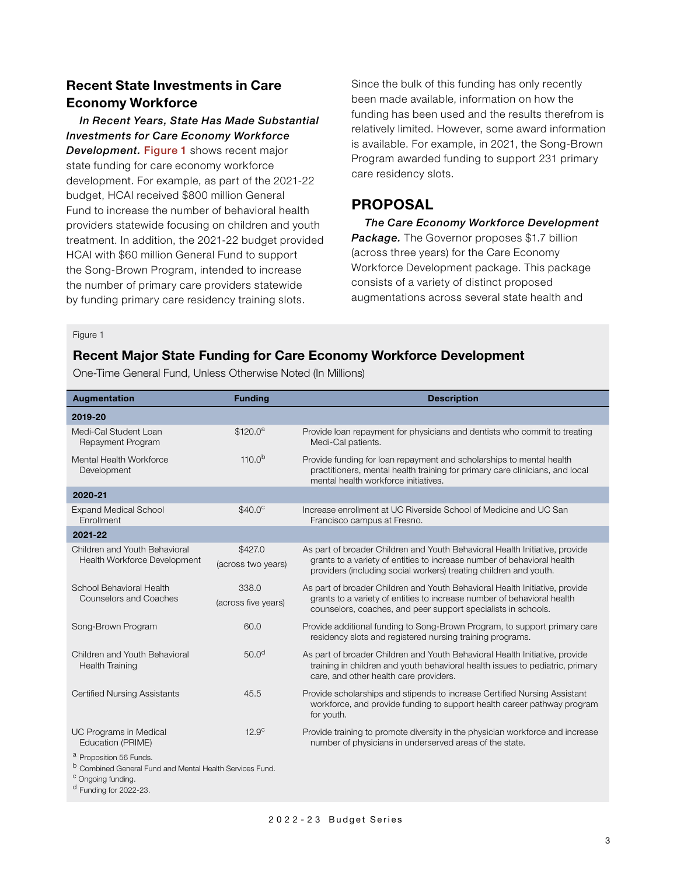# **Recent State Investments in Care Economy Workforce**

*In Recent Years, State Has Made Substantial Investments for Care Economy Workforce*  **Development. Figure 1** shows recent major state funding for care economy workforce development. For example, as part of the 2021-22 budget, HCAI received \$800 million General Fund to increase the number of behavioral health providers statewide focusing on children and youth treatment. In addition, the 2021-22 budget provided HCAI with \$60 million General Fund to support the Song-Brown Program, intended to increase the number of primary care providers statewide by funding primary care residency training slots.

Since the bulk of this funding has only recently been made available, information on how the funding has been used and the results therefrom is relatively limited. However, some award information is available. For example, in 2021, the Song-Brown Program awarded funding to support 231 primary care residency slots.

# **PROPOSAL**

*The Care Economy Workforce Development*  **Package.** The Governor proposes \$1.7 billion (across three years) for the Care Economy Workforce Development package. This package consists of a variety of distinct proposed augmentations across several state health and

#### Figure 1

## **Recent Major State Funding for Care Economy Workforce Development**

One-Time General Fund, Unless Otherwise Noted (In Millions)

| Augmentation                                                                                                                                                                    | <b>Funding</b>                | <b>Description</b>                                                                                                                                                                                                          |  |  |
|---------------------------------------------------------------------------------------------------------------------------------------------------------------------------------|-------------------------------|-----------------------------------------------------------------------------------------------------------------------------------------------------------------------------------------------------------------------------|--|--|
| 2019-20                                                                                                                                                                         |                               |                                                                                                                                                                                                                             |  |  |
| Medi-Cal Student Loan<br>Repayment Program                                                                                                                                      | \$120.0 <sup>a</sup>          | Provide loan repayment for physicians and dentists who commit to treating<br>Medi-Cal patients.                                                                                                                             |  |  |
| Mental Health Workforce<br>Development                                                                                                                                          | $110.0^{b}$                   | Provide funding for loan repayment and scholarships to mental health<br>practitioners, mental health training for primary care clinicians, and local<br>mental health workforce initiatives.                                |  |  |
| 2020-21                                                                                                                                                                         |                               |                                                                                                                                                                                                                             |  |  |
| <b>Expand Medical School</b><br>Enrollment                                                                                                                                      | \$40.0 <sup>c</sup>           | Increase enrollment at UC Riverside School of Medicine and UC San<br>Francisco campus at Fresno.                                                                                                                            |  |  |
| 2021-22                                                                                                                                                                         |                               |                                                                                                                                                                                                                             |  |  |
| Children and Youth Behavioral<br>Health Workforce Development                                                                                                                   | \$427.0<br>(across two years) | As part of broader Children and Youth Behavioral Health Initiative, provide<br>grants to a variety of entities to increase number of behavioral health<br>providers (including social workers) treating children and youth. |  |  |
| School Behavioral Health<br>Counselors and Coaches                                                                                                                              | 338.0<br>(across five years)  | As part of broader Children and Youth Behavioral Health Initiative, provide<br>grants to a variety of entities to increase number of behavioral health<br>counselors, coaches, and peer support specialists in schools.     |  |  |
| Song-Brown Program                                                                                                                                                              | 60.0                          | Provide additional funding to Song-Brown Program, to support primary care<br>residency slots and registered nursing training programs.                                                                                      |  |  |
| Children and Youth Behavioral<br><b>Health Training</b>                                                                                                                         | 50.0 <sup>d</sup>             | As part of broader Children and Youth Behavioral Health Initiative, provide<br>training in children and youth behavioral health issues to pediatric, primary<br>care, and other health care providers.                      |  |  |
| <b>Certified Nursing Assistants</b>                                                                                                                                             | 45.5                          | Provide scholarships and stipends to increase Certified Nursing Assistant<br>workforce, and provide funding to support health career pathway program<br>for youth.                                                          |  |  |
| UC Programs in Medical<br>Education (PRIME)                                                                                                                                     | 12.9 <sup>c</sup>             | Provide training to promote diversity in the physician workforce and increase<br>number of physicians in underserved areas of the state.                                                                                    |  |  |
| <sup>a</sup> Proposition 56 Funds.<br><sup>b</sup> Combined General Fund and Mental Health Services Fund.<br><sup>c</sup> Ongoing funding.<br><sup>d</sup> Funding for 2022-23. |                               |                                                                                                                                                                                                                             |  |  |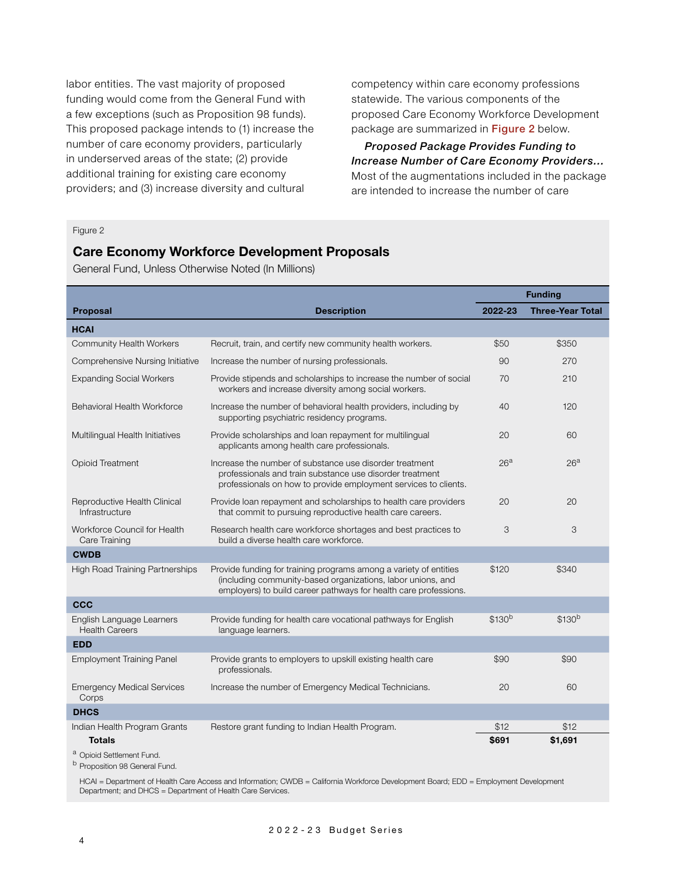labor entities. The vast majority of proposed funding would come from the General Fund with a few exceptions (such as Proposition 98 funds). This proposed package intends to (1) increase the number of care economy providers, particularly in underserved areas of the state; (2) provide additional training for existing care economy providers; and (3) increase diversity and cultural

competency within care economy professions statewide. The various components of the proposed Care Economy Workforce Development package are summarized in Figure 2 below.

*Proposed Package Provides Funding to Increase Number of Care Economy Providers…*  Most of the augmentations included in the package are intended to increase the number of care

#### Figure 2

## **Care Economy Workforce Development Proposals**

General Fund, Unless Otherwise Noted (In Millions)

|                                                    |                                                                                                                                                                                                      | <b>Funding</b>     |                         |
|----------------------------------------------------|------------------------------------------------------------------------------------------------------------------------------------------------------------------------------------------------------|--------------------|-------------------------|
| <b>Proposal</b>                                    | <b>Description</b>                                                                                                                                                                                   | 2022-23            | <b>Three-Year Total</b> |
| <b>HCAI</b>                                        |                                                                                                                                                                                                      |                    |                         |
| <b>Community Health Workers</b>                    | Recruit, train, and certify new community health workers.                                                                                                                                            |                    | \$350                   |
| Comprehensive Nursing Initiative                   | Increase the number of nursing professionals.                                                                                                                                                        |                    | 270                     |
| <b>Expanding Social Workers</b>                    | Provide stipends and scholarships to increase the number of social<br>workers and increase diversity among social workers.                                                                           |                    | 210                     |
| <b>Behavioral Health Workforce</b>                 | Increase the number of behavioral health providers, including by<br>supporting psychiatric residency programs.                                                                                       |                    | 120                     |
| Multilingual Health Initiatives                    | Provide scholarships and loan repayment for multilingual<br>applicants among health care professionals.                                                                                              | 20                 | 60                      |
| <b>Opioid Treatment</b>                            | Increase the number of substance use disorder treatment<br>professionals and train substance use disorder treatment<br>professionals on how to provide employment services to clients.               | 26 <sup>a</sup>    | 26 <sup>a</sup>         |
| Reproductive Health Clinical<br>Infrastructure     | Provide loan repayment and scholarships to health care providers<br>that commit to pursuing reproductive health care careers.                                                                        | 20                 | 20                      |
| Workforce Council for Health<br>Care Training      | Research health care workforce shortages and best practices to<br>build a diverse health care workforce.                                                                                             | 3                  | 3                       |
| <b>CWDB</b>                                        |                                                                                                                                                                                                      |                    |                         |
| <b>High Road Training Partnerships</b>             | Provide funding for training programs among a variety of entities<br>(including community-based organizations, labor unions, and<br>employers) to build career pathways for health care professions. | \$120              | \$340                   |
| <b>CCC</b>                                         |                                                                                                                                                                                                      |                    |                         |
| English Language Learners<br><b>Health Careers</b> | Provide funding for health care vocational pathways for English<br>language learners.                                                                                                                | \$130 <sup>b</sup> | \$130 <sup>b</sup>      |
| <b>EDD</b>                                         |                                                                                                                                                                                                      |                    |                         |
| <b>Employment Training Panel</b>                   | Provide grants to employers to upskill existing health care<br>professionals.                                                                                                                        | \$90               | \$90                    |
| <b>Emergency Medical Services</b><br>Corps         | Increase the number of Emergency Medical Technicians.                                                                                                                                                |                    | 60                      |
| <b>DHCS</b>                                        |                                                                                                                                                                                                      |                    |                         |
| Indian Health Program Grants                       | Restore grant funding to Indian Health Program.                                                                                                                                                      | \$12               | \$12                    |
| <b>Totals</b>                                      |                                                                                                                                                                                                      | \$691              | \$1,691                 |
| <sup>a</sup> Opioid Settlement Fund.               |                                                                                                                                                                                                      |                    |                         |

<sup>b</sup> Proposition 98 General Fund.

HCAI = Department of Health Care Access and Information; CWDB = California Workforce Development Board; EDD = Employment Development Department; and DHCS = Department of Health Care Services.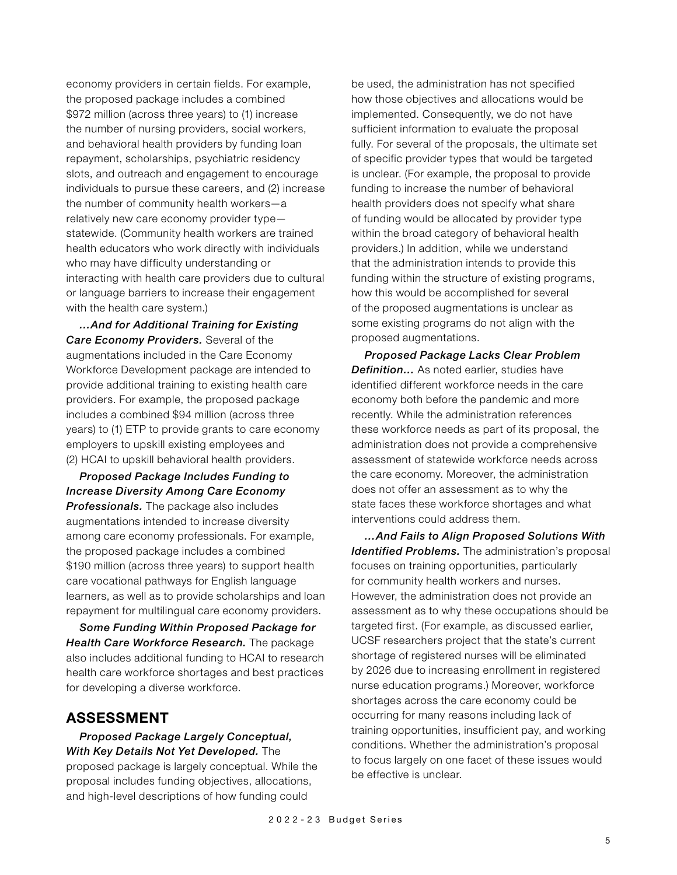economy providers in certain fields. For example, the proposed package includes a combined \$972 million (across three years) to (1) increase the number of nursing providers, social workers, and behavioral health providers by funding loan repayment, scholarships, psychiatric residency slots, and outreach and engagement to encourage individuals to pursue these careers, and (2) increase the number of community health workers—a relatively new care economy provider type statewide. (Community health workers are trained health educators who work directly with individuals who may have difficulty understanding or interacting with health care providers due to cultural or language barriers to increase their engagement with the health care system.)

*…And for Additional Training for Existing Care Economy Providers.* Several of the augmentations included in the Care Economy Workforce Development package are intended to provide additional training to existing health care providers. For example, the proposed package includes a combined \$94 million (across three years) to (1) ETP to provide grants to care economy employers to upskill existing employees and (2) HCAI to upskill behavioral health providers.

*Proposed Package Includes Funding to Increase Diversity Among Care Economy Professionals.* The package also includes augmentations intended to increase diversity among care economy professionals. For example, the proposed package includes a combined \$190 million (across three years) to support health care vocational pathways for English language learners, as well as to provide scholarships and loan repayment for multilingual care economy providers.

*Some Funding Within Proposed Package for Health Care Workforce Research.* The package also includes additional funding to HCAI to research health care workforce shortages and best practices for developing a diverse workforce.

## **ASSESSMENT**

*Proposed Package Largely Conceptual, With Key Details Not Yet Developed.* The

proposed package is largely conceptual. While the proposal includes funding objectives, allocations, and high-level descriptions of how funding could

be used, the administration has not specified how those objectives and allocations would be implemented. Consequently, we do not have sufficient information to evaluate the proposal fully. For several of the proposals, the ultimate set of specific provider types that would be targeted is unclear. (For example, the proposal to provide funding to increase the number of behavioral health providers does not specify what share of funding would be allocated by provider type within the broad category of behavioral health providers.) In addition, while we understand that the administration intends to provide this funding within the structure of existing programs, how this would be accomplished for several of the proposed augmentations is unclear as some existing programs do not align with the proposed augmentations.

*Proposed Package Lacks Clear Problem Definition…* As noted earlier, studies have identified different workforce needs in the care economy both before the pandemic and more recently. While the administration references these workforce needs as part of its proposal, the administration does not provide a comprehensive assessment of statewide workforce needs across the care economy. Moreover, the administration does not offer an assessment as to why the state faces these workforce shortages and what interventions could address them.

*…And Fails to Align Proposed Solutions With Identified Problems.* The administration's proposal focuses on training opportunities, particularly for community health workers and nurses. However, the administration does not provide an assessment as to why these occupations should be targeted first. (For example, as discussed earlier, UCSF researchers project that the state's current shortage of registered nurses will be eliminated by 2026 due to increasing enrollment in registered nurse education programs.) Moreover, workforce shortages across the care economy could be occurring for many reasons including lack of training opportunities, insufficient pay, and working conditions. Whether the administration's proposal to focus largely on one facet of these issues would be effective is unclear.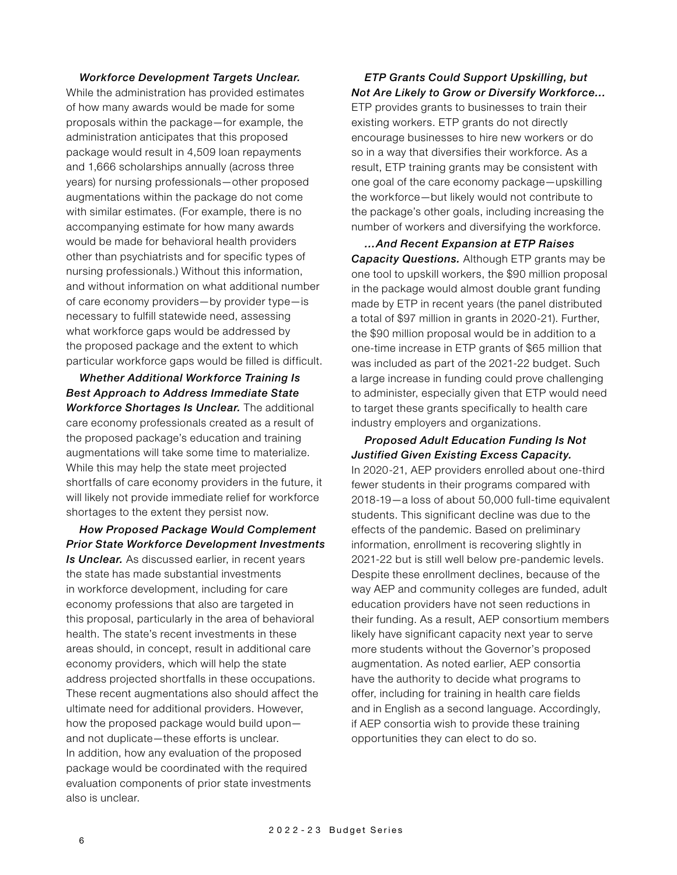#### *Workforce Development Targets Unclear.*

While the administration has provided estimates of how many awards would be made for some proposals within the package—for example, the administration anticipates that this proposed package would result in 4,509 loan repayments and 1,666 scholarships annually (across three years) for nursing professionals—other proposed augmentations within the package do not come with similar estimates. (For example, there is no accompanying estimate for how many awards would be made for behavioral health providers other than psychiatrists and for specific types of nursing professionals.) Without this information, and without information on what additional number of care economy providers—by provider type—is necessary to fulfill statewide need, assessing what workforce gaps would be addressed by the proposed package and the extent to which particular workforce gaps would be filled is difficult.

*Whether Additional Workforce Training Is Best Approach to Address Immediate State Workforce Shortages Is Unclear.* The additional care economy professionals created as a result of the proposed package's education and training augmentations will take some time to materialize. While this may help the state meet projected shortfalls of care economy providers in the future, it will likely not provide immediate relief for workforce shortages to the extent they persist now.

*How Proposed Package Would Complement Prior State Workforce Development Investments Is Unclear.* As discussed earlier, in recent years the state has made substantial investments in workforce development, including for care economy professions that also are targeted in this proposal, particularly in the area of behavioral health. The state's recent investments in these areas should, in concept, result in additional care economy providers, which will help the state address projected shortfalls in these occupations. These recent augmentations also should affect the ultimate need for additional providers. However, how the proposed package would build upon and not duplicate—these efforts is unclear. In addition, how any evaluation of the proposed package would be coordinated with the required evaluation components of prior state investments also is unclear.

## *ETP Grants Could Support Upskilling, but Not Are Likely to Grow or Diversify Workforce…*

ETP provides grants to businesses to train their existing workers. ETP grants do not directly encourage businesses to hire new workers or do so in a way that diversifies their workforce. As a result, ETP training grants may be consistent with one goal of the care economy package—upskilling the workforce—but likely would not contribute to the package's other goals, including increasing the number of workers and diversifying the workforce.

*…And Recent Expansion at ETP Raises Capacity Questions.* Although ETP grants may be one tool to upskill workers, the \$90 million proposal in the package would almost double grant funding made by ETP in recent years (the panel distributed a total of \$97 million in grants in 2020-21). Further, the \$90 million proposal would be in addition to a one-time increase in ETP grants of \$65 million that was included as part of the 2021-22 budget. Such a large increase in funding could prove challenging to administer, especially given that ETP would need to target these grants specifically to health care industry employers and organizations.

*Proposed Adult Education Funding Is Not Justified Given Existing Excess Capacity.*  In 2020-21, AEP providers enrolled about one-third fewer students in their programs compared with 2018-19—a loss of about 50,000 full-time equivalent students. This significant decline was due to the effects of the pandemic. Based on preliminary information, enrollment is recovering slightly in 2021-22 but is still well below pre-pandemic levels. Despite these enrollment declines, because of the way AEP and community colleges are funded, adult education providers have not seen reductions in their funding. As a result, AEP consortium members likely have significant capacity next year to serve more students without the Governor's proposed augmentation. As noted earlier, AEP consortia have the authority to decide what programs to offer, including for training in health care fields and in English as a second language. Accordingly, if AEP consortia wish to provide these training opportunities they can elect to do so.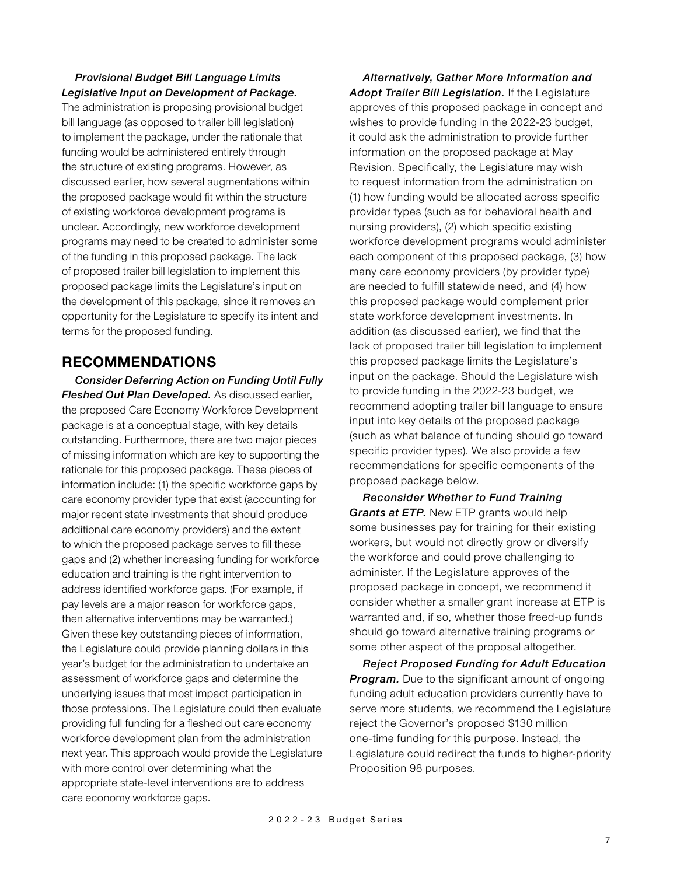## *Provisional Budget Bill Language Limits Legislative Input on Development of Package.*

The administration is proposing provisional budget bill language (as opposed to trailer bill legislation) to implement the package, under the rationale that funding would be administered entirely through the structure of existing programs. However, as discussed earlier, how several augmentations within the proposed package would fit within the structure of existing workforce development programs is unclear. Accordingly, new workforce development programs may need to be created to administer some of the funding in this proposed package. The lack of proposed trailer bill legislation to implement this proposed package limits the Legislature's input on the development of this package, since it removes an opportunity for the Legislature to specify its intent and terms for the proposed funding.

# **RECOMMENDATIONS**

*Consider Deferring Action on Funding Until Fully Fleshed Out Plan Developed.* As discussed earlier, the proposed Care Economy Workforce Development package is at a conceptual stage, with key details outstanding. Furthermore, there are two major pieces of missing information which are key to supporting the rationale for this proposed package. These pieces of information include: (1) the specific workforce gaps by care economy provider type that exist (accounting for major recent state investments that should produce additional care economy providers) and the extent to which the proposed package serves to fill these gaps and (2) whether increasing funding for workforce education and training is the right intervention to address identified workforce gaps. (For example, if pay levels are a major reason for workforce gaps, then alternative interventions may be warranted.) Given these key outstanding pieces of information, the Legislature could provide planning dollars in this year's budget for the administration to undertake an assessment of workforce gaps and determine the underlying issues that most impact participation in those professions. The Legislature could then evaluate providing full funding for a fleshed out care economy workforce development plan from the administration next year. This approach would provide the Legislature with more control over determining what the appropriate state-level interventions are to address care economy workforce gaps.

*Alternatively, Gather More Information and Adopt Trailer Bill Legislation.* If the Legislature approves of this proposed package in concept and wishes to provide funding in the 2022-23 budget, it could ask the administration to provide further information on the proposed package at May Revision. Specifically, the Legislature may wish to request information from the administration on (1) how funding would be allocated across specific provider types (such as for behavioral health and nursing providers), (2) which specific existing workforce development programs would administer each component of this proposed package, (3) how many care economy providers (by provider type) are needed to fulfill statewide need, and (4) how this proposed package would complement prior state workforce development investments. In addition (as discussed earlier), we find that the lack of proposed trailer bill legislation to implement this proposed package limits the Legislature's input on the package. Should the Legislature wish to provide funding in the 2022-23 budget, we recommend adopting trailer bill language to ensure input into key details of the proposed package (such as what balance of funding should go toward specific provider types). We also provide a few recommendations for specific components of the proposed package below.

*Reconsider Whether to Fund Training Grants at ETP.* New ETP grants would help some businesses pay for training for their existing workers, but would not directly grow or diversify the workforce and could prove challenging to administer. If the Legislature approves of the proposed package in concept, we recommend it consider whether a smaller grant increase at ETP is warranted and, if so, whether those freed-up funds should go toward alternative training programs or some other aspect of the proposal altogether.

*Reject Proposed Funding for Adult Education Program.* Due to the significant amount of ongoing funding adult education providers currently have to serve more students, we recommend the Legislature reject the Governor's proposed \$130 million one-time funding for this purpose. Instead, the Legislature could redirect the funds to higher-priority Proposition 98 purposes.